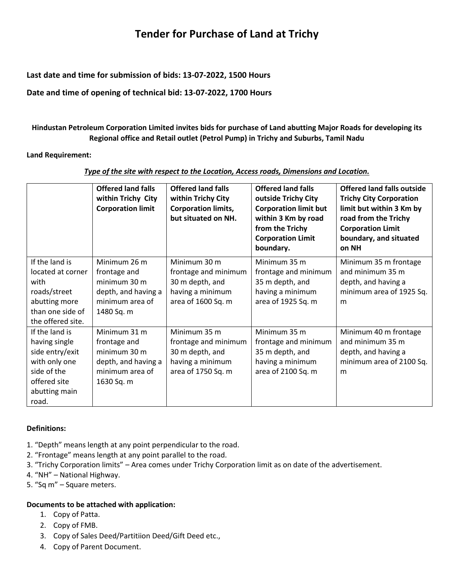# **Tender for Purchase of Land at Trichy**

**Last date and time for submission of bids: 13-07-2022, 1500 Hours**

**Date and time of opening of technical bid: 13-07-2022, 1700 Hours**

**Hindustan Petroleum Corporation Limited invites bids for purchase of Land abutting Major Roads for developing its Regional office and Retail outlet (Petrol Pump) in Trichy and Suburbs, Tamil Nadu**

#### **Land Requirement:**

|                                                                                                                              | <b>Offered land falls</b><br>within Trichy City<br><b>Corporation limit</b>                          | <b>Offered land falls</b><br>within Trichy City<br><b>Corporation limits,</b><br>but situated on NH. | <b>Offered land falls</b><br>outside Trichy City<br><b>Corporation limit but</b><br>within 3 Km by road<br>from the Trichy<br><b>Corporation Limit</b><br>boundary. | <b>Offered land falls outside</b><br><b>Trichy City Corporation</b><br>limit but within 3 Km by<br>road from the Trichy<br><b>Corporation Limit</b><br>boundary, and situated<br>on NH |
|------------------------------------------------------------------------------------------------------------------------------|------------------------------------------------------------------------------------------------------|------------------------------------------------------------------------------------------------------|---------------------------------------------------------------------------------------------------------------------------------------------------------------------|----------------------------------------------------------------------------------------------------------------------------------------------------------------------------------------|
| If the land is<br>located at corner<br>with<br>roads/street<br>abutting more<br>than one side of<br>the offered site.        | Minimum 26 m<br>frontage and<br>minimum 30 m<br>depth, and having a<br>minimum area of<br>1480 Sq. m | Minimum 30 m<br>frontage and minimum<br>30 m depth, and<br>having a minimum<br>area of 1600 Sq. m    | Minimum 35 m<br>frontage and minimum<br>35 m depth, and<br>having a minimum<br>area of 1925 Sq. m                                                                   | Minimum 35 m frontage<br>and minimum 35 m<br>depth, and having a<br>minimum area of 1925 Sq.<br>m                                                                                      |
| If the land is<br>having single<br>side entry/exit<br>with only one<br>side of the<br>offered site<br>abutting main<br>road. | Minimum 31 m<br>frontage and<br>minimum 30 m<br>depth, and having a<br>minimum area of<br>1630 Sq. m | Minimum 35 m<br>frontage and minimum<br>30 m depth, and<br>having a minimum<br>area of 1750 Sq. m    | Minimum 35 m<br>frontage and minimum<br>35 m depth, and<br>having a minimum<br>area of 2100 Sq. m                                                                   | Minimum 40 m frontage<br>and minimum 35 m<br>depth, and having a<br>minimum area of 2100 Sq.<br>m                                                                                      |

#### *Type of the site with respect to the Location, Access roads, Dimensions and Location.*

#### **Definitions:**

- 1. "Depth" means length at any point perpendicular to the road.
- 2. "Frontage" means length at any point parallel to the road.
- 3. "Trichy Corporation limits" Area comes under Trichy Corporation limit as on date of the advertisement.
- 4. "NH" National Highway.
- 5. "Sq m" Square meters.

# **Documents to be attached with application:**

- 1. Copy of Patta.
- 2. Copy of FMB.
- 3. Copy of Sales Deed/Partitiion Deed/Gift Deed etc.,
- 4. Copy of Parent Document.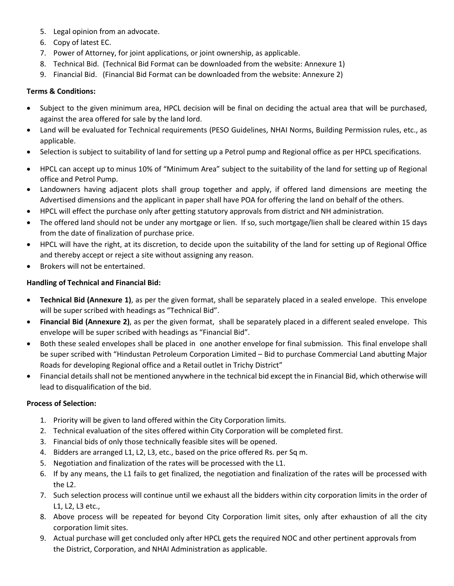- 5. Legal opinion from an advocate.
- 6. Copy of latest EC.
- 7. Power of Attorney, for joint applications, or joint ownership, as applicable.
- 8. Technical Bid. (Technical Bid Format can be downloaded from the website: Annexure 1)
- 9. Financial Bid. (Financial Bid Format can be downloaded from the website: Annexure 2)

### **Terms & Conditions:**

- Subject to the given minimum area, HPCL decision will be final on deciding the actual area that will be purchased, against the area offered for sale by the land lord.
- Land will be evaluated for Technical requirements (PESO Guidelines, NHAI Norms, Building Permission rules, etc., as applicable.
- Selection is subject to suitability of land for setting up a Petrol pump and Regional office as per HPCL specifications.
- HPCL can accept up to minus 10% of "Minimum Area" subject to the suitability of the land for setting up of Regional office and Petrol Pump.
- Landowners having adjacent plots shall group together and apply, if offered land dimensions are meeting the Advertised dimensions and the applicant in paper shall have POA for offering the land on behalf of the others.
- HPCL will effect the purchase only after getting statutory approvals from district and NH administration.
- The offered land should not be under any mortgage or lien. If so, such mortgage/lien shall be cleared within 15 days from the date of finalization of purchase price.
- HPCL will have the right, at its discretion, to decide upon the suitability of the land for setting up of Regional Office and thereby accept or reject a site without assigning any reason.
- Brokers will not be entertained.

## **Handling of Technical and Financial Bid:**

- **Technical Bid (Annexure 1)**, as per the given format, shall be separately placed in a sealed envelope. This envelope will be super scribed with headings as "Technical Bid".
- **Financial Bid (Annexure 2)**, as per the given format, shall be separately placed in a different sealed envelope. This envelope will be super scribed with headings as "Financial Bid".
- Both these sealed envelopes shall be placed in one another envelope for final submission. This final envelope shall be super scribed with "Hindustan Petroleum Corporation Limited – Bid to purchase Commercial Land abutting Major Roads for developing Regional office and a Retail outlet in Trichy District"
- Financial details shall not be mentioned anywhere in the technical bid except the in Financial Bid, which otherwise will lead to disqualification of the bid.

#### **Process of Selection:**

- 1. Priority will be given to land offered within the City Corporation limits.
- 2. Technical evaluation of the sites offered within City Corporation will be completed first.
- 3. Financial bids of only those technically feasible sites will be opened.
- 4. Bidders are arranged L1, L2, L3, etc., based on the price offered Rs. per Sq m.
- 5. Negotiation and finalization of the rates will be processed with the L1.
- 6. If by any means, the L1 fails to get finalized, the negotiation and finalization of the rates will be processed with the L2.
- 7. Such selection process will continue until we exhaust all the bidders within city corporation limits in the order of L1, L2, L3 etc.,
- 8. Above process will be repeated for beyond City Corporation limit sites, only after exhaustion of all the city corporation limit sites.
- 9. Actual purchase will get concluded only after HPCL gets the required NOC and other pertinent approvals from the District, Corporation, and NHAI Administration as applicable.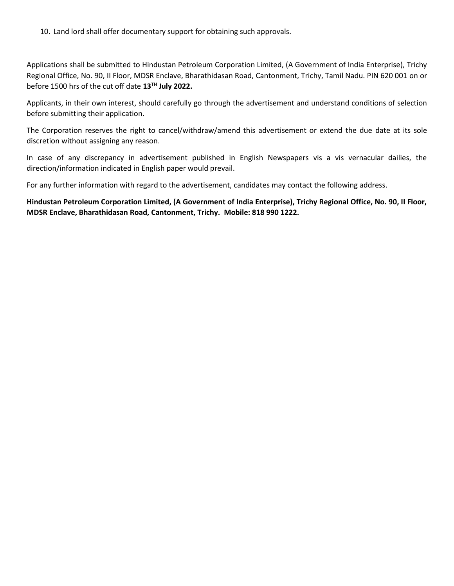10. Land lord shall offer documentary support for obtaining such approvals.

Applications shall be submitted to Hindustan Petroleum Corporation Limited, (A Government of India Enterprise), Trichy Regional Office, No. 90, II Floor, MDSR Enclave, Bharathidasan Road, Cantonment, Trichy, Tamil Nadu. PIN 620 001 on or before 1500 hrs of the cut off date **13TH July 2022.**

Applicants, in their own interest, should carefully go through the advertisement and understand conditions of selection before submitting their application.

The Corporation reserves the right to cancel/withdraw/amend this advertisement or extend the due date at its sole discretion without assigning any reason.

In case of any discrepancy in advertisement published in English Newspapers vis a vis vernacular dailies, the direction/information indicated in English paper would prevail.

For any further information with regard to the advertisement, candidates may contact the following address.

**Hindustan Petroleum Corporation Limited, (A Government of India Enterprise), Trichy Regional Office, No. 90, II Floor, MDSR Enclave, Bharathidasan Road, Cantonment, Trichy. Mobile: 818 990 1222.**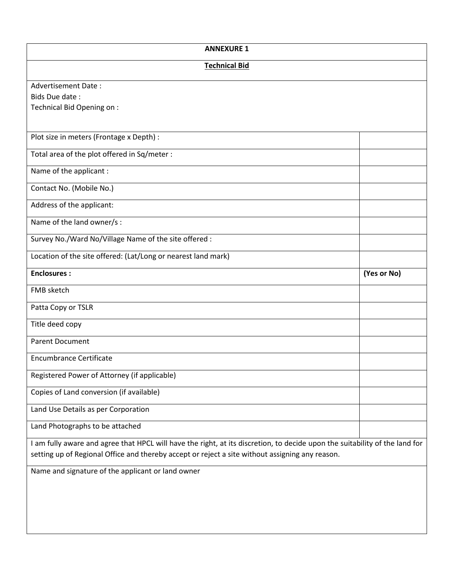| <b>ANNEXURE 1</b>                                                                                                                                                                                                              |             |  |  |  |
|--------------------------------------------------------------------------------------------------------------------------------------------------------------------------------------------------------------------------------|-------------|--|--|--|
| <b>Technical Bid</b>                                                                                                                                                                                                           |             |  |  |  |
| Advertisement Date:                                                                                                                                                                                                            |             |  |  |  |
| Bids Due date:                                                                                                                                                                                                                 |             |  |  |  |
| Technical Bid Opening on:                                                                                                                                                                                                      |             |  |  |  |
|                                                                                                                                                                                                                                |             |  |  |  |
| Plot size in meters (Frontage x Depth) :                                                                                                                                                                                       |             |  |  |  |
| Total area of the plot offered in Sq/meter :                                                                                                                                                                                   |             |  |  |  |
| Name of the applicant :                                                                                                                                                                                                        |             |  |  |  |
| Contact No. (Mobile No.)                                                                                                                                                                                                       |             |  |  |  |
| Address of the applicant:                                                                                                                                                                                                      |             |  |  |  |
| Name of the land owner/s :                                                                                                                                                                                                     |             |  |  |  |
| Survey No./Ward No/Village Name of the site offered :                                                                                                                                                                          |             |  |  |  |
| Location of the site offered: (Lat/Long or nearest land mark)                                                                                                                                                                  |             |  |  |  |
| <b>Enclosures:</b>                                                                                                                                                                                                             | (Yes or No) |  |  |  |
| FMB sketch                                                                                                                                                                                                                     |             |  |  |  |
| Patta Copy or TSLR                                                                                                                                                                                                             |             |  |  |  |
| Title deed copy                                                                                                                                                                                                                |             |  |  |  |
| <b>Parent Document</b>                                                                                                                                                                                                         |             |  |  |  |
| <b>Encumbrance Certificate</b>                                                                                                                                                                                                 |             |  |  |  |
| Registered Power of Attorney (if applicable)                                                                                                                                                                                   |             |  |  |  |
| Copies of Land conversion (if available)                                                                                                                                                                                       |             |  |  |  |
| Land Use Details as per Corporation                                                                                                                                                                                            |             |  |  |  |
| Land Photographs to be attached                                                                                                                                                                                                |             |  |  |  |
| I am fully aware and agree that HPCL will have the right, at its discretion, to decide upon the suitability of the land for<br>setting up of Regional Office and thereby accept or reject a site without assigning any reason. |             |  |  |  |
| Name and signature of the applicant or land owner                                                                                                                                                                              |             |  |  |  |
|                                                                                                                                                                                                                                |             |  |  |  |
|                                                                                                                                                                                                                                |             |  |  |  |